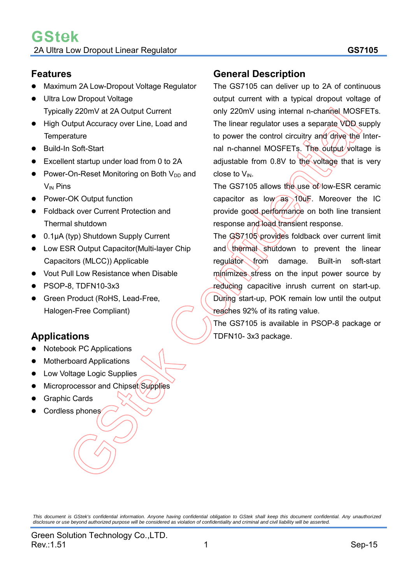### **Features**

- Maximum 2A Low-Dropout Voltage Regulator
- Ultra Low Dropout Voltage Typically 220mV at 2A Output Current
- High Output Accuracy over Line, Load and **Temperature**
- Build-In Soft-Start
- Excellent startup under load from 0 to 2A
- Power-On-Reset Monitoring on Both  $V_{DD}$  and  $V_{IN}$  Pins
- Power-OK Output function
- Foldback over Current Protection and Thermal shutdown
- 0.1μA (typ) Shutdown Supply Current
- Low ESR Output Capacitor(Multi-layer Chip Capacitors (MLCC)) Applicable
- Vout Pull Low Resistance when Disable
- PSOP-8, TDFN10-3x3
- Green Product (RoHS, Lead-Free, Halogen-Free Compliant)

## **Applications**

- Notebook PC Applications
- Motherboard Applications
- Low Voltage Logic Supplies
- Microprocessor and Chipset Supplies
- Graphic Cards
- Cordless phones

### **General Description**

The GS7105 can deliver up to 2A of continuous output current with a typical dropout voltage of only 220mV using internal n-channel MOSFETs. The linear regulator uses a separate VDD supply to power the control circuitry and drive the Internal n-channel MOSFETs. The output voltage is adjustable from 0.8V to the voltage that is very close to  $V_{IN.}$ 

The GS7105 allows the use of low-ESR ceramic capacitor as low as 10uF. Moreover the IC provide good performance on both line transient response and load transient response.

The GS7105 provides foldback over current limit and thermal shutdown to prevent the linear regulator from damage. Built-in soft-start minimizes stress on the input power source by reducing capacitive inrush current on start-up. During start-up, POK remain low until the output reaches 92% of its rating value.

The GS7105 is available in PSOP-8 package or TDFN10- 3x3 package.

This document is GStek's confidential information. Anyone having confidential obligation to GStek shall keep this document confidential. Any unauthorized<br>disclosure or use beyond authorized purpose will be considered as vi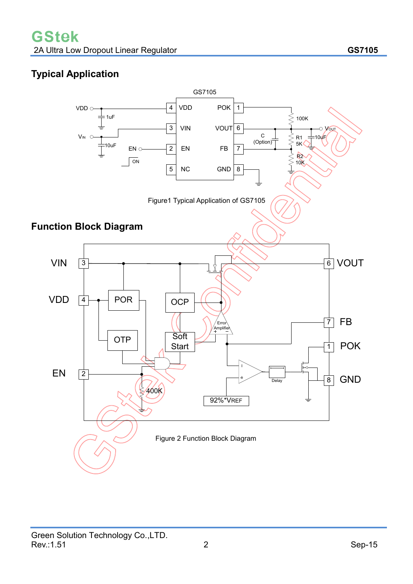## **Typical Application**

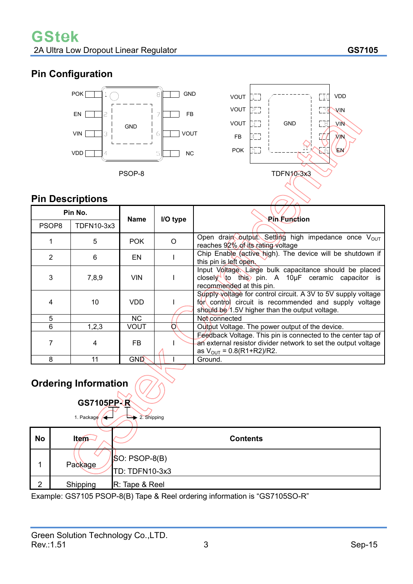## **Pin Configuration**





## **Pin Descriptions**

| Pin No. |            | <b>Name</b><br>I/O type |   | <b>Pin-Function</b>                                                                                                                                                      |
|---------|------------|-------------------------|---|--------------------------------------------------------------------------------------------------------------------------------------------------------------------------|
| PSOP8   | TDFN10-3x3 |                         |   |                                                                                                                                                                          |
|         | 5          | <b>POK</b>              | O | Open drain output. Setting high impedance once V <sub>OUT</sub><br>reaches 92% of its rating voltage                                                                     |
| 2       | 6          | EN                      |   | Chip Enable (active high). The device will be shutdown if<br>this pin is left open.                                                                                      |
| 3       | 7,8,9      | <b>VIN</b>              |   | Input Voltage. Large bulk capacitance should be placed<br>closely to this pin. A 10 $\mu$ F ceramic capacitor is<br>recommended at this pin.                             |
| 4       | 10         | <b>VDD</b>              |   | Supply voltage for control circuit. A 3V to 5V supply voltage<br>for control circuit is recommended and supply voltage<br>should be 1.5V higher than the output voltage. |
| 5       |            | <b>NC</b>               |   | Not connected                                                                                                                                                            |
| 6       | 1,2,3      | VOUT                    | O | Output Voltage. The power output of the device.                                                                                                                          |
|         | 4          | FB.                     |   | Eeedback Voltage. This pin is connected to the center tap of<br>an external resistor divider network to set the output voltage<br>as $V_{OUT} = 0.8(R1 + R2)/R2$ .       |
| 8       | 11         | <b>GND</b>              |   | Ground.                                                                                                                                                                  |

# **Ordering Information**

| <b>GS7105PP 2R</b>              |                                   |
|---------------------------------|-----------------------------------|
| 1. Package $\sqrt{\phantom{a}}$ | $\blacktriangleright$ 2. Shipping |

|           |          | .<br>. .                                  |                 |
|-----------|----------|-------------------------------------------|-----------------|
| <b>No</b> | Item-    |                                           | <b>Contents</b> |
|           | Package  | / <b>S</b> O: PSOP-8(B)<br>TD: TDFN10-3x3 |                 |
| າ         | Shipping | R: Tape & Reel                            |                 |

Example: GS7105 PSOP-8(B) Tape & Reel ordering information is "GS7105SO-R"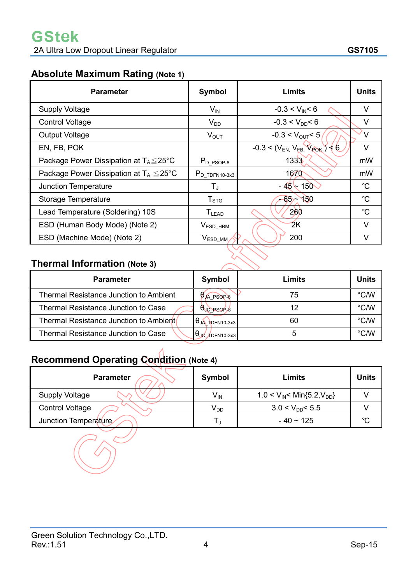## **Absolute Maximum Rating (Note 1)**

| <b>Parameter</b>                                    | Symbol                       | Limits                                 | <b>Units</b> |
|-----------------------------------------------------|------------------------------|----------------------------------------|--------------|
| <b>Supply Voltage</b>                               | $V_{\text{IN}}$              | $-0.3 < V_{IN} < 6$                    | V            |
| <b>Control Voltage</b>                              | $V_{DD}$                     | $-0.3 < V_{DD} < 6$                    | V            |
| <b>Output Voltage</b>                               | $V_{\text{OUT}}$             | $-0.3 < V_{\text{OUT}} < 5$            | v            |
| EN, FB, POK                                         |                              | $-0.3 < (V_{EN} V_{FB} V_{POK}) \le 6$ | V            |
| Package Power Dissipation at $T_A \leq 25^{\circ}C$ | $P_{D,PSOP-8}$               | 1333                                   | mW           |
| Package Power Dissipation at $T_A \leq 25^{\circ}C$ | $P_{D_TDPN10-3x3}$           | 1670                                   | mW           |
| Junction Temperature                                | $T_{\rm J}$                  | $-45 - 150$                            | $^{\circ}C$  |
| <b>Storage Temperature</b>                          | $T_{\text{STG}}$             | $-65 - 150$                            | $^{\circ}C$  |
| Lead Temperature (Soldering) 10S                    | $\mathsf{T}_{\mathsf{LEAD}}$ | 260                                    | °C           |
| ESD (Human Body Mode) (Note 2)                      | $V_{ESD\_HBM}$               | 2K                                     | V            |
| ESD (Machine Mode) (Note 2)                         | $V_{ESD_MM}$                 | 200                                    | V            |

## **Thermal Information (Note 3)**

| <b>Parameter</b>                              | Symbol                              | Limits | <b>Units</b>  |
|-----------------------------------------------|-------------------------------------|--------|---------------|
| <b>Thermal Resistance Junction to Ambient</b> | $\theta_{JA}$ PSOP-8                | 75     | $\degree$ C/W |
| <b>Thermal Resistance Junction to Case</b>    | $\theta_{\text{JC} \text{PSOP}_28}$ | 12     | $\degree$ C/W |
| Thermal Resistance Junction to Ambient        | $\theta$ JA TOFN10-3x3              | 60     | $\degree$ C/W |
| <b>Thermal Resistance Junction to Case</b>    | $\theta$ Je $f$ DFN10-3x3           | ა      | $\degree$ C/W |

## **Recommend Operating Condition (Note 4)**

| <b>Parameter</b>       | Symbol                     | Limits                               | <b>Units</b> |
|------------------------|----------------------------|--------------------------------------|--------------|
| <b>Supply Voltage</b>  | $V_{\text{IN}}$            | 1.0 < $V_{IN}$ < Min{5.2, $V_{DD}$ } |              |
| <b>Control Voltage</b> | $\mathsf{V}_{\mathsf{DD}}$ | $3.0 < V_{DD} < 5.5$                 |              |
| Junction Temperature   |                            | $-40 \sim 125$                       | $\sim$       |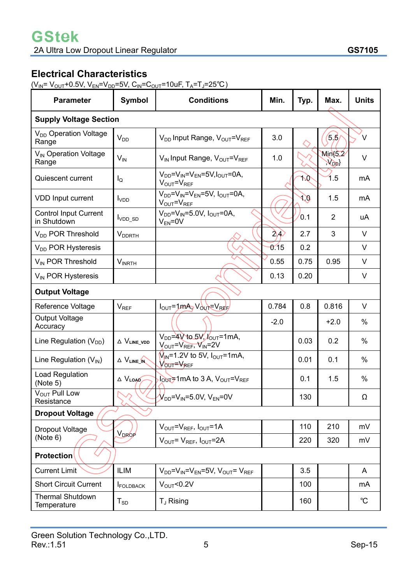## **Electrical Characteristics**

 $(V_{IN} = V_{OUT} + 0.5V, V_{EN} = V_{DD} = 5V, C_{IN} = C_{OUT} = 10uF, T_A = T_J = 25°C)$ 

| <b>Parameter</b>                            | <b>Symbol</b>                 | <b>Conditions</b>                                                                   | Min.   | Typ. | Max.                   | <b>Units</b>  |
|---------------------------------------------|-------------------------------|-------------------------------------------------------------------------------------|--------|------|------------------------|---------------|
| <b>Supply Voltage Section</b>               |                               |                                                                                     |        |      |                        |               |
| V <sub>DD</sub> Operation Voltage<br>Range  | $V_{DD}$                      | $V_{DD}$ Input Range, $V_{OUT} = V_{REF}$                                           | 3.0    |      | 5.5                    | V             |
| V <sub>IN</sub> Operation Voltage<br>Range  | $V_{IN}$                      | V <sub>IN</sub> Input Range, V <sub>OUT</sub> =V <sub>REF</sub>                     | 1.0    |      | Min 5.2<br>$\setminus$ | V             |
| Quiescent current                           | $I_{\mathsf{Q}}$              | $V_{DD} = V_{IN} = V_{EN} = 5V, I_{OUT} = 0A,$<br>$V_{\text{OUT}} = V_{\text{REF}}$ |        | NÒ   | 1.5                    | mA            |
| <b>VDD Input current</b>                    | <b>I</b> <sub>VDD</sub>       | $V_{DD}$ = $V_{IN}$ = $V_{EN}$ =5V, $I_{OUT}$ =0A,<br>VOUT <sup>=VREF</sup>         |        | 49.  | 1.5                    | mA            |
| <b>Control Input Current</b><br>in Shutdown | $IVDD_SD$                     | $V_{DD} = V_{IN} = 5.0 V$ , $I_{OUT} = 0 A$ ,<br>$V_{EN} = 0V$                      |        | 0.1  | $\overline{2}$         | uA            |
| V <sub>DD</sub> POR Threshold               | <b>V</b> <sub>DDRTH</sub>     |                                                                                     | 24     | 2.7  | 3                      | $\vee$        |
| V <sub>DD</sub> POR Hysteresis              |                               |                                                                                     | 0.15   | 0.2  |                        | V             |
| V <sub>IN</sub> POR Threshold               | $V_{INRTH}$                   |                                                                                     | 0.55   | 0.75 | 0.95                   | $\vee$        |
| V <sub>IN</sub> POR Hysteresis              |                               |                                                                                     | 0.13   | 0.20 |                        | V             |
| <b>Output Voltage</b>                       |                               |                                                                                     |        |      |                        |               |
| Reference Voltage                           | $V_{REF}$                     | $I_{OUT} = 1$ mA, $V_{OUT} = V_{REF}$                                               | 0.784  | 0.8  | 0.816                  | V             |
| <b>Output Voltage</b><br>Accuracy           |                               |                                                                                     | $-2.0$ |      | $+2.0$                 | $\%$          |
| Line Regulation (V <sub>DD</sub> )          | $\triangle$ $V_{LINE\_VDD}$   | $V_{DD}$ =4 $V$ to 5 $V$ , $V_{OUT}$ =1mA,<br>VOUT=VREF, VIN=2V                     |        | 0.03 | 0.2                    | %             |
| Line Regulation (V <sub>IN</sub> )          | $\triangle$ $V_{LINE}$        | $M_{\text{IN}}$ =1.2V to 5V, $I_{\text{OUT}}$ =1mA,<br>VOUT <sup>=VREF</sup>        |        | 0.01 | 0.1                    | $\frac{0}{0}$ |
| Load Regulation<br>(Note 5)                 | $\triangle$ $V_{\text{LOAD}}$ | $I_{\text{OUT}}$ 1 mA to 3 A, $V_{\text{OUT}} = V_{\text{REF}}$                     |        | 0.1  | 1.5                    | %             |
| V <sub>OUT</sub> Pull Low<br>Resistance     |                               | $\mathcal{Y}_{\mathsf{DD}}$ =V <sub>IN</sub> =5.0V, V <sub>EN</sub> =0V             |        | 130  |                        | Ω             |
| <b>Dropout Voltage</b>                      |                               |                                                                                     |        |      |                        |               |
| Dropout Voltage                             | V <sub>DROP</sub>             | $V_{\text{OUT}}=V_{\text{REF}}$ , $I_{\text{OUT}}=1$ A                              |        | 110  | 210                    | mV            |
| (Note 6)                                    |                               | $V_{OUT} = V_{REF}$ , $I_{OUT} = 2A$                                                |        | 220  | 320                    | mV            |
| <b>Protection</b>                           |                               |                                                                                     |        |      |                        |               |
| <b>Current Limit</b>                        | <b>ILIM</b>                   | $V_{DD}$ = $V_{IN}$ = $V_{EN}$ =5V, $V_{OUT}$ = $V_{REF}$                           |        | 3.5  |                        | A             |
| <b>Short Circuit Current</b>                | <b>FOLDBACK</b>               | $V_{\text{OUT}}$ <0.2V                                                              |        | 100  |                        | mA            |
| <b>Thermal Shutdown</b><br>Temperature      | $T_{SD}$                      | T <sub>J</sub> Rising                                                               |        | 160  |                        | °C            |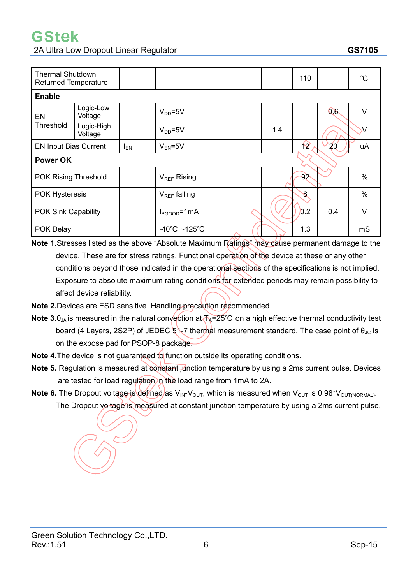| <b>Thermal Shutdown</b><br><b>Returned Temperature</b> |                       |                       |                  |                          | 110          |      | °C   |
|--------------------------------------------------------|-----------------------|-----------------------|------------------|--------------------------|--------------|------|------|
| <b>Enable</b>                                          |                       |                       |                  |                          |              |      |      |
| <b>EN</b>                                              | Logic-Low<br>Voltage  |                       | $V_{DD} = 5V$    |                          |              | 90   | V    |
| <b>Threshold</b>                                       | Logic-High<br>Voltage |                       | $V_{DD} = 5V$    | 1.4                      |              |      |      |
| <b>EN Input Bias Current</b>                           |                       | <b>I<sub>EN</sub></b> | $V_{EN} = 5V$    |                          | $\mathbf{P}$ | 20   | uA   |
| <b>Power OK</b>                                        |                       |                       |                  |                          |              |      |      |
| POK Rising Threshold                                   |                       |                       | $V_{REF}$ Rising |                          | 92           |      | $\%$ |
| <b>POK Hysteresis</b>                                  |                       | $V_{REF}$ falling     |                  | $\overline{\mathscr{S}}$ |              | $\%$ |      |
| POK Sink Capability                                    |                       | $I_{PGOOD} = 1mA$     |                  | 0.2                      | 0.4          | V    |      |
| POK Delay                                              |                       |                       | -40°C ~125°C     |                          | 1.3          |      | mS   |

**Note 1**.Stresses listed as the above "Absolute Maximum Ratings" may cause permanent damage to the device. These are for stress ratings. Functional operation of the device at these or any other conditions beyond those indicated in the operational sections of the specifications is not implied. Exposure to absolute maximum rating conditions for extended periods may remain possibility to affect device reliability.

- **Note 2.**Devices are ESD sensitive. Handling precaution recommended.
- **Note 3.** $\theta_{JA}$  is measured in the natural convection at  $T_A=25^{\circ}$  on a high effective thermal conductivity test board (4 Layers, 2S2P) of JEDEC  $51-7$  thermal measurement standard. The case point of  $\theta_{\text{JC}}$  is on the expose pad for PSOP-8 package.
- **Note 4.**The device is not guaranteed to function outside its operating conditions.
- Note 5. Regulation is measured at constant junction temperature by using a 2ms current pulse. Devices are tested for load regulation in the load range from 1mA to 2A.
- **Note 6.** The Dropout voltage is defined as  $V_{\text{IN}}V_{\text{OUT}}$ , which is measured when  $V_{\text{OUT}}$  is 0.98\* $V_{\text{OUT}(\text{NORMAL})}$ . The Dropout voltage is measured at constant junction temperature by using a 2ms current pulse.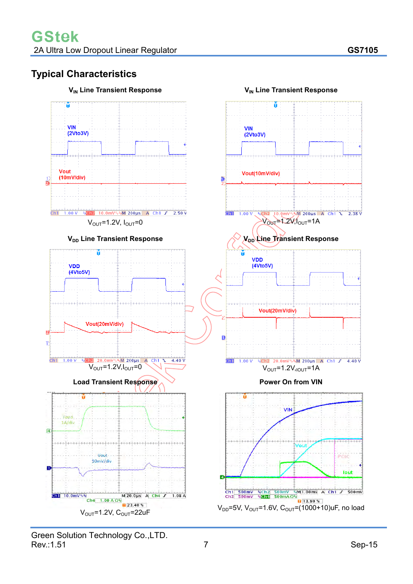## **Typical Characteristics**

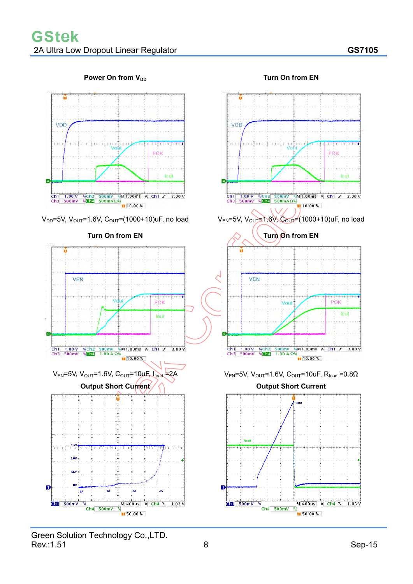**Power On from V<sub>DD</sub>** 







**Turn On from EN**



Green Solution Technology Co., LTD.<br>Rev.: 1.51  $\textsf{Rev}.:1.51$  Sep-15

R

 $\sqrt[\alpha]{\mathsf{Ch4}}$  500mV

 $50.00%$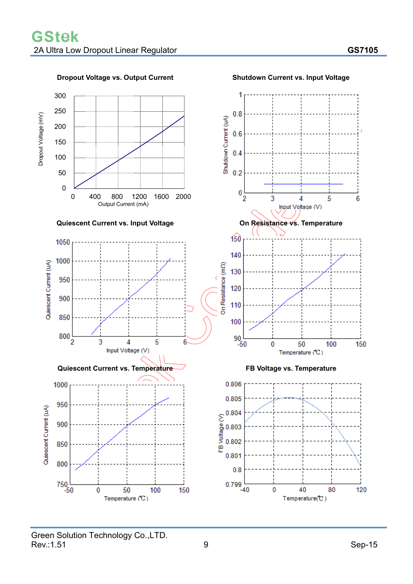

**Dropout Voltage vs. Output Current Shutdown Current vs. Input Voltage**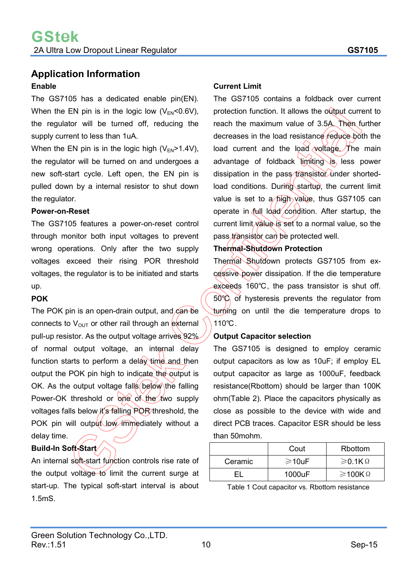### **Application Information Enable**

The GS7105 has a dedicated enable pin(EN). When the EN pin is in the logic low  $(V_{FN} < 0.6V)$ , the regulator will be turned off, reducing the supply current to less than 1uA.

When the EN pin is in the logic high  $(V_{EN} > 1.4V)$ , the regulator will be turned on and undergoes a new soft-start cycle. Left open, the EN pin is pulled down by a internal resistor to shut down the regulator.

#### **Power-on-Reset**

The GS7105 features a power-on-reset control through monitor both input voltages to prevent wrong operations. Only after the two supply voltages exceed their rising POR threshold voltages, the regulator is to be initiated and starts up.

#### **POK**

The POK pin is an open-drain output, and can be connects to  $V_{\text{OUT}}$  or other rail through an external pull-up resistor. As the output voltage arrives 92% of normal output voltage, an internal delay function starts to perform a delay time and then output the POK pin high to indicate the output is OK. As the output voltage falls below the falling Power-OK threshold or one of the two supply voltages falls below it's falling POR threshold, the POK pin will output low immediately without a delay time.

#### **Build-In Soft-Start**

An internal soft-start function controls rise rate of the output voltage to limit the current surge at start-up. The typical soft-start interval is about 1.5mS.

#### **Current Limit**

The GS7105 contains a foldback over current protection function. It allows the output current to reach the maximum value of 3.5A. Then further decreases in the load resistance reduce both the load current and the load voltage. The main advantage of foldback limiting is less power dissipation in the pass transistor under shortedload conditions. During startup, the current limit value is set to a high value, thus GS7105 can operate in full load condition. After startup, the current limit value is set to a normal value, so the pass transistor can be protected well.

#### **Thermal-Shutdown Protection**

Thermal Shutdown protects GS7105 from excessive power dissipation. If the die temperature exceeds 160°C, the pass transistor is shut off. 50°C of hysteresis prevents the regulator from turning on until the die temperature drops to 110°C.

#### **Output Capacitor selection**

The GS7105 is designed to employ ceramic output capacitors as low as 10uF; if employ EL output capacitor as large as 1000uF, feedback resistance(Rbottom) should be larger than 100K ohm(Table 2). Place the capacitors physically as close as possible to the device with wide and direct PCB traces. Capacitor ESR should be less than 50mohm.

|         | Cout         | Rbottom   |
|---------|--------------|-----------|
| Ceramic | $\geq 10$ uF | $≥$ 0.1ΚΩ |
| FΙ      | 1000uF       | $≥$ 100ΚΩ |

| Table 1 Cout capacitor vs. Rbottom resistance |  |
|-----------------------------------------------|--|
|-----------------------------------------------|--|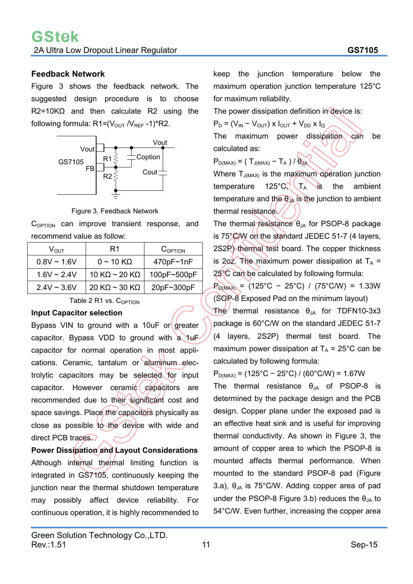#### **Feedback Network**

Figure 3 shows the feedback network. The suggested design procedure is to choose R2=10KΩ and then calculate R2 using the following formula:  $R1 = (V_{OUT}/V_{REF} - 1)*R2$ .



Figure 3. Feedback Network

 $C_{\text{OPTION}}$  can improve transient response, and recommend value as follow:

| $V_{\rm OUT}$    | R1                            | COPTION     |
|------------------|-------------------------------|-------------|
| $0.8V \sim 1.6V$ | $0 \sim 10 \text{ K}\Omega$   | 470pF~1nF   |
| $1.6V \sim 2.4V$ | 10 K $\Omega$ ~ 20 K $\Omega$ | 100pF~500pF |
| $2.4V \sim 3.6V$ | 20 K $\Omega$ ~ 30 K $\Omega$ | 20pF~300pF  |

Table 2 R1 vs.  $C_{\text{OPTION}}$ 

#### **Input Capacitor selection**

Bypass VIN to ground with a 10uF or greater capacitor. Bypass VDD to ground with a 1uF capacitor for normal operation in most applications. Ceramic, tantalum or aluminum electrolytic capacitors may be selected for input capacitor. However ceramic capacitors are recommended due to their significant cost and space savings. Place the capacitors physically as close as possible to the device with wide and direct PCB traces.

**Power Dissipation and Layout Considerations**  Although internal thermal limiting function is integrated in GS7105, continuously keeping the junction near the thermal shutdown temperature may possibly affect device reliability. For

continuous operation, it is highly recommended to

keep the junction temperature below the maximum operation junction temperature 125°C for maximum reliability.

The power dissipation definition in device is:

 $P_D = (V_{IN} - V_{OUT}) \times I_{OUT} + V_{DD} \times I_Q$ 

The maximum power dissipation can be calculated as:

 $P_{D(MAX)} = (T_{J(MAX)} - T_A) / \theta_{JA}$ 

Where  $T_{J(MAX)}$  is the maximum operation junction temperature  $125^{\circ}$ C,  $T_{\text{A}}$  is the ambient temperature and the  $\theta_{JA}$  is the junction to ambient thermal resistance

The thermal resistance  $\theta_{JA}$  for PSOP-8 package is 75°CMV on the standard JEDEC 51-7 (4 layers, 2S2P) thermal test board. The copper thickness is 2oz. The maximum power dissipation at  $T_A$  = 25°C can be calculated by following formula:

 $P_{D(MAX)} = (125^{\circ}C - 25^{\circ}C) / (75^{\circ}C/W) = 1.33W$ (SOP-8 Exposed Pad on the minimum layout)

The thermal resistance  $\theta_{JA}$  for TDFN10-3x3 package is 60°C/W on the standard JEDEC 51-7 (4 layers, 2S2P) thermal test board. The maximum power dissipation at  $T_A = 25^{\circ}$ C can be calculated by following formula:

 $P_{D(MAX)} = (125^{\circ}C - 25^{\circ}C) / (60^{\circ}C/W) = 1.67W$ 

The thermal resistance  $\theta_{JA}$  of PSOP-8 is determined by the package design and the PCB design. Copper plane under the exposed pad is an effective heat sink and is useful for improving thermal conductivity. As shown in Figure 3, the amount of copper area to which the PSOP-8 is mounted affects thermal performance. When mounted to the standard PSOP-8 pad (Figure 3.a),  $\theta_{JA}$  is 75°C/W. Adding copper area of pad under the PSOP-8 Figure 3.b) reduces the  $\theta_{JA}$  to 54°C/W. Even further, increasing the copper area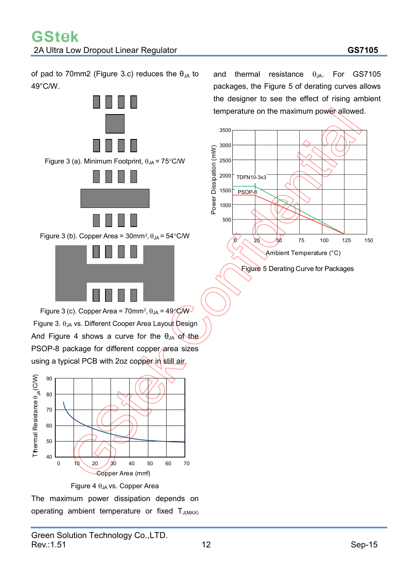of pad to 70mm2 (Figure 3.c) reduces the  $\theta_{JA}$  to 49°C/W.





Figure 3 (b). Copper Area =  $30$ mm<sup>2</sup>,  $\theta_{JA}$  =  $54^{\circ}$ C/W



Figure 3 (c). Copper Area = 70mm<sup>2</sup>,  $\theta_{JA}$  = 49 $\degree$ C/W Figure 3.  $\theta$ <sub>JA</sub> vs. Different Cooper Area Layout Design And Figure 4 shows a curve for the  $\theta_{JA}$  of the PSOP-8 package for different copper area sizes using a typical PCB with 2oz copper in still air.





The maximum power dissipation depends on operating ambient temperature or fixed  $T_{J(MAX)}$  and thermal resistance  $\theta_{JA}$ . For GS7105 packages, the Figure 5 of derating curves allows the designer to see the effect of rising ambient temperature on the maximum power allowed.



Figure 5 Derating Curve for Packages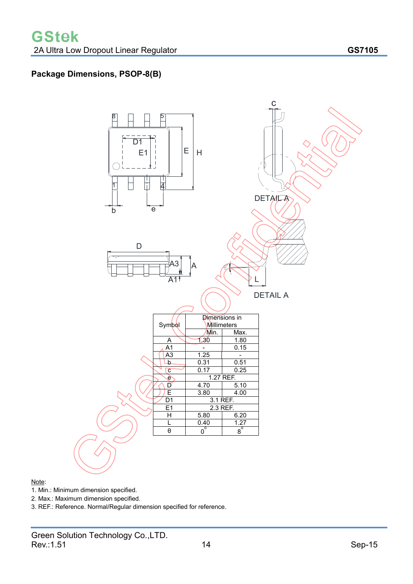## **Package Dimensions, PSOP-8(B)**



#### Note:

- 1. Min.: Minimum dimension specified.
- 2. Max.: Maximum dimension specified.
- 3. REF.: Reference. Normal/Regular dimension specified for reference.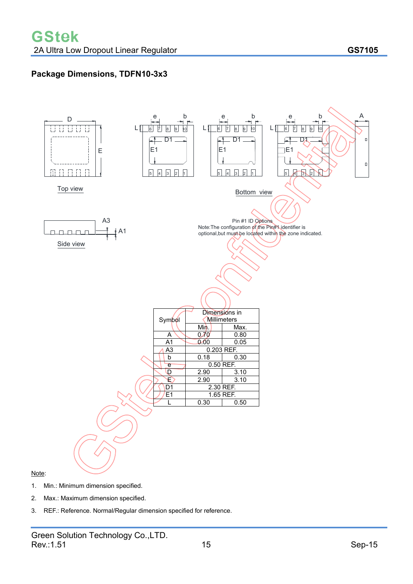### **Package Dimensions, TDFN10-3x3**



- 1. Min.: Minimum dimension specified.
- 2. Max.: Maximum dimension specified.
- 3. REF.: Reference. Normal/Regular dimension specified for reference.